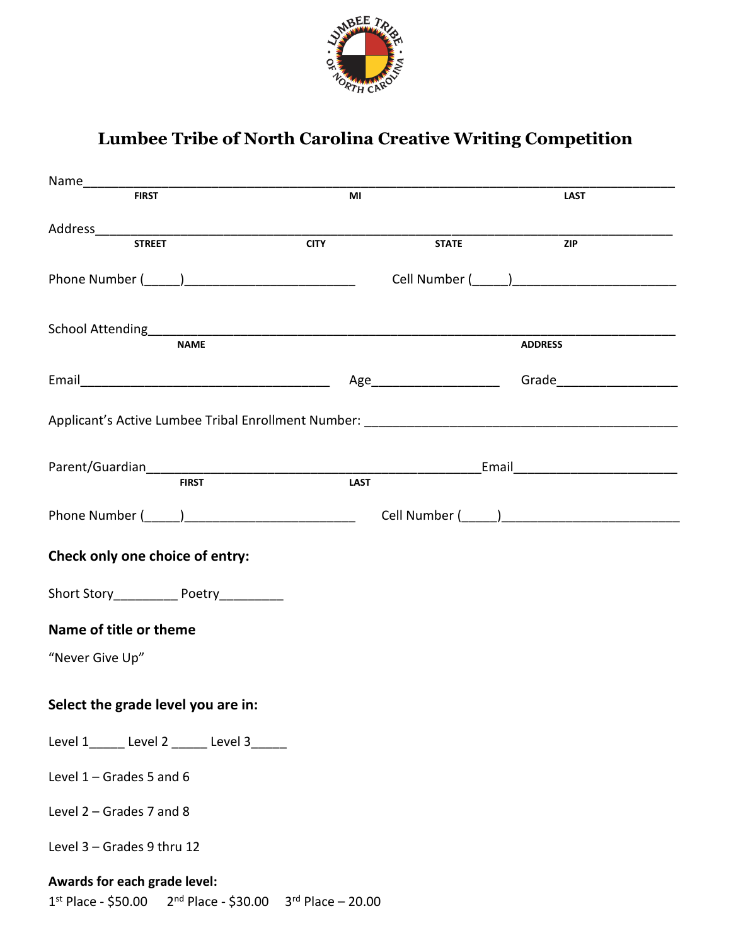

## **Lumbee Tribe of North Carolina Creative Writing Competition**

|                                                                                                                                                                                                                                | M <sub>l</sub> |                | <b>LAST</b> |
|--------------------------------------------------------------------------------------------------------------------------------------------------------------------------------------------------------------------------------|----------------|----------------|-------------|
|                                                                                                                                                                                                                                |                |                |             |
| <b>STREET</b>                                                                                                                                                                                                                  | <b>CITY</b>    | <b>STATE</b>   | <b>ZIP</b>  |
|                                                                                                                                                                                                                                |                |                |             |
|                                                                                                                                                                                                                                |                |                |             |
|                                                                                                                                                                                                                                |                |                |             |
|                                                                                                                                                                                                                                |                |                |             |
| <b>NAME</b>                                                                                                                                                                                                                    |                | <b>ADDRESS</b> |             |
|                                                                                                                                                                                                                                |                |                |             |
|                                                                                                                                                                                                                                |                |                |             |
|                                                                                                                                                                                                                                |                |                |             |
|                                                                                                                                                                                                                                |                |                |             |
|                                                                                                                                                                                                                                |                |                |             |
| Parent/Guardian Email Finst Email Farent/Guardian Finst Finst Finst Finst Finst Finst Finst Finst Finst Finst Finst Finst Finst Finst Finst Finst Finst Finst Finst Finst Finst Finst Finst Finst Finst Finst Finst Finst Fins |                |                |             |
|                                                                                                                                                                                                                                |                |                |             |
|                                                                                                                                                                                                                                |                |                |             |
| Check only one choice of entry:                                                                                                                                                                                                |                |                |             |
|                                                                                                                                                                                                                                |                |                |             |
| Short Story______________ Poetry___________                                                                                                                                                                                    |                |                |             |
| Name of title or theme                                                                                                                                                                                                         |                |                |             |
| "Never Give Up"                                                                                                                                                                                                                |                |                |             |
|                                                                                                                                                                                                                                |                |                |             |
| Select the grade level you are in:                                                                                                                                                                                             |                |                |             |
|                                                                                                                                                                                                                                |                |                |             |
| Level 1______ Level 2 ______ Level 3_____                                                                                                                                                                                      |                |                |             |
| Level $1 -$ Grades 5 and 6                                                                                                                                                                                                     |                |                |             |
|                                                                                                                                                                                                                                |                |                |             |
| Level 2 - Grades 7 and 8                                                                                                                                                                                                       |                |                |             |
| Level 3 - Grades 9 thru 12                                                                                                                                                                                                     |                |                |             |
| Awards for each grade level:                                                                                                                                                                                                   |                |                |             |
| $1^{st}$ Place - \$50.00 $2^{nd}$ Place - \$30.00 $3^{rd}$ Place - 20.00                                                                                                                                                       |                |                |             |